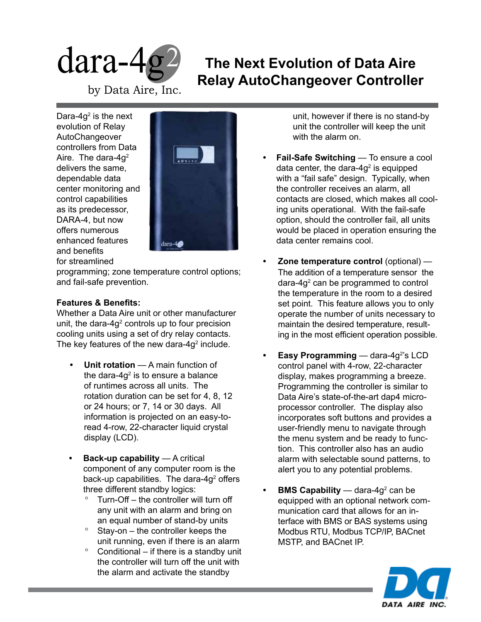

# **The Next Evolution of Data Aire Relay AutoChangeover Controller**

Dara-4 $g^2$  is the next evolution of Relay AutoChangeover controllers from Data Aire. The dara-4q<sup>2</sup> delivers the same, dependable data center monitoring and control capabilities as its predecessor, DARA-4, but now offers numerous enhanced features and benefits for streamlined



programming; zone temperature control options; and fail-safe prevention.

### **Features & Benefits:**

Whether a Data Aire unit or other manufacturer unit, the dara-4 $g^2$  controls up to four precision cooling units using a set of dry relay contacts. The key features of the new dara-4g<sup>2</sup> include.

- **• Unit rotation**  A main function of the dara-4g<sup>2</sup> is to ensure a balance of runtimes across all units. The rotation duration can be set for 4, 8, 12 or 24 hours; or 7, 14 or 30 days. All information is projected on an easy-toread 4-row, 22-character liquid crystal display (LCD).
- **• Back-up capability** A critical component of any computer room is the back-up capabilities. The dara-4g<sup>2</sup> offers three different standby logics:
	- $\degree$  Turn-Off the controller will turn off any unit with an alarm and bring on an equal number of stand-by units
	- $\degree$  Stay-on the controller keeps the unit running, even if there is an alarm
	- $\degree$  Conditional if there is a standby unit the controller will turn off the unit with the alarm and activate the standby

unit, however if there is no stand-by unit the controller will keep the unit with the alarm on.

- **• Fail-Safe Switching** To ensure a cool data center, the dara-4g<sup>2</sup> is equipped with a "fail safe" design. Typically, when the controller receives an alarm, all contacts are closed, which makes all cooling units operational. With the fail-safe option, should the controller fail, all units would be placed in operation ensuring the data center remains cool.
- **• Zone temperature control** (optional) The addition of a temperature sensor the dara-4g<sup>2</sup> can be programmed to control the temperature in the room to a desired set point. This feature allows you to only operate the number of units necessary to maintain the desired temperature, resulting in the most efficient operation possible.
- **Easy Programming** dara-4g<sup>2</sup>'s LCD control panel with 4-row, 22-character display, makes programming a breeze. Programming the controller is similar to Data Aire's state-of-the-art dap4 microprocessor controller. The display also incorporates soft buttons and provides a user-friendly menu to navigate through the menu system and be ready to function. This controller also has an audio alarm with selectable sound patterns, to alert you to any potential problems.
- **BMS Capability** dara-4g<sup>2</sup> can be equipped with an optional network communication card that allows for an interface with BMS or BAS systems using Modbus RTU, Modbus TCP/IP, BACnet MSTP, and BACnet IP.